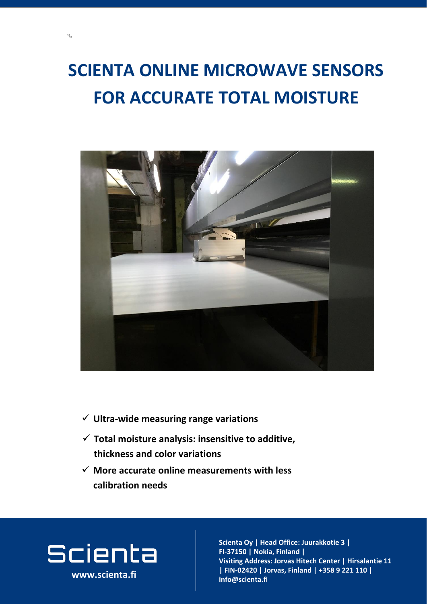## **SCIENTA ONLINE MICROWAVE SENSORS**

## **FOR ACCURATE TOTAL MOISTURE**



**www.scienta.fi**

### ✓ **More accurate online measurements with less calibration needs**

# Scienta

 $\mathbb{Z}$ 

✓ **Total moisture analysis: insensitive to additive, thickness and color variations**

**Visiting and address and a**<br>International and address and a **Joria, Fillianu |**<br>Jorian - Center adress: Jorva **02420 Jorvas, Finland | FIN-02420 | Jorvas, Finland | +358 9 221 110 |**   $\mathsf{info@}$ scienta.fi **Scienta Oy | Head Office: Juurakkotie 3 | FI-37150 | Nokia, Finland | Visiting Address: Jorvas Hitech Center | Hirsalantie 11 info@scienta.fi www.scienta.fi**

#### ✓ **Ultra-wide measuring range variations**